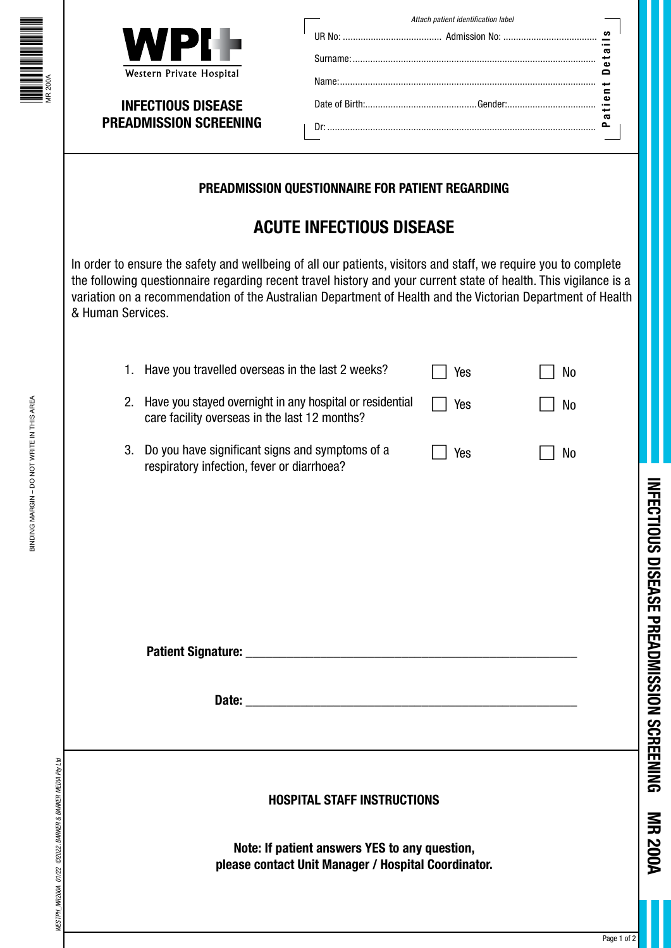

BINDING MARGIN – DO NOT WRITE IN THIS AREA

BINDING MARGIN - DO NOT WRITE IN THIS AREA

*WESTPH\_MR200A 01/22 ©2022. BARKER & BARKER MEDIA Pty Ltd*

WESTPH\_MR200A\_01/22\_©2022. BARKER & BARKER MEDIA Pty Ltd



## **INFECTIOUS DISEASE PREADMISSION SCREENING** Surname:................................................................................................ Name:..................................................................................................... Date of Birth:............................................Gender:................................... Dr: ..........................................................................................................

UR No: ....................................... Admission No: .....................................

*Attach patient identification label*

**Patient Details**

Patient Details

## **PREADMISSION QUESTIONNAIRE FOR PATIENT REGARDING**

## **ACUTE INFECTIOUS DISEASE**

In order to ensure the safety and wellbeing of all our patients, visitors and staff, we require you to complete the following questionnaire regarding recent travel history and your current state of health. This vigilance is a variation on a recommendation of the Australian Department of Health and the Victorian Department of Health & Human Services.

|                                    |    | 1. Have you travelled overseas in the last 2 weeks?                                                                                                                                                                                  | Yes | <b>No</b>      |  |  |
|------------------------------------|----|--------------------------------------------------------------------------------------------------------------------------------------------------------------------------------------------------------------------------------------|-----|----------------|--|--|
|                                    | 2. | Have you stayed overnight in any hospital or residential<br>care facility overseas in the last 12 months?                                                                                                                            | Yes | N <sub>0</sub> |  |  |
|                                    |    | 3. Do you have significant signs and symptoms of a<br>respiratory infection, fever or diarrhoea?                                                                                                                                     | Yes | <b>No</b>      |  |  |
|                                    |    |                                                                                                                                                                                                                                      |     |                |  |  |
|                                    |    |                                                                                                                                                                                                                                      |     |                |  |  |
|                                    |    |                                                                                                                                                                                                                                      |     |                |  |  |
|                                    |    |                                                                                                                                                                                                                                      |     |                |  |  |
|                                    |    |                                                                                                                                                                                                                                      |     |                |  |  |
|                                    |    | Date: <u>Date: Exploration of the second contract of the second contract of the second contract of the second contract of the second contract of the second contract of the second contract of the second contract of the second</u> |     |                |  |  |
|                                    |    |                                                                                                                                                                                                                                      |     |                |  |  |
| <b>HOSPITAL STAFF INSTRUCTIONS</b> |    |                                                                                                                                                                                                                                      |     |                |  |  |
|                                    |    | Note: If patient answers YES to any question,<br>please contact Unit Manager / Hospital Coordinator.                                                                                                                                 |     |                |  |  |
|                                    |    |                                                                                                                                                                                                                                      |     |                |  |  |